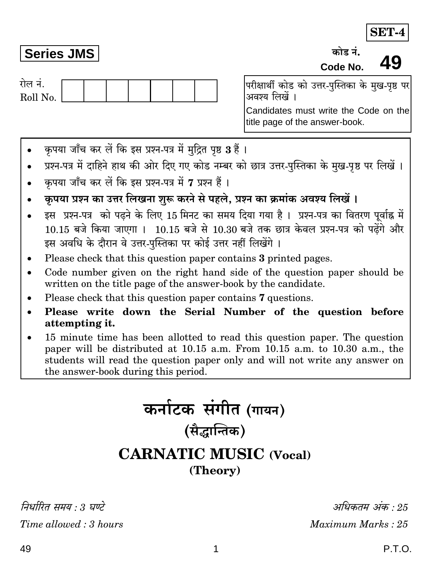## **Series JMS**

गेल नं Roll No.

49 Code No. परीक्षार्थी कोड को उत्तर-पस्तिका के मख-पष्ठ पर

ਲਹੇਵ ਤੋਂ

अवश्य लिखें ।

Candidates must write the Code on the title page of the answer-book.

- कपया जाँच कर लें कि इस प्रश्न-पत्र में मुद्रित पृष्ठ 3 हैं।
- प्रश्न-पत्र में दाहिने हाथ की ओर दिए गए कोड नम्बर को छात्र उत्तर-पुस्तिका के मुख-पृष्ठ पर लिखें ।
- कपया जाँच कर लें कि इस प्रश्न-पत्र में 7 प्रश्न हैं।
- कपया प्रश्न का उत्तर लिखना शुरू करने से पहले. प्रश्न का क्रमांक अवश्य लिखें।
- इस प्रश्न-पत्र को पढने के लिए 15 मिनट का समय दिया गया है। प्रश्न-पत्र का वितरण पूर्वाह्न में 10.15 बजे किया जाएगा । 10.15 बजे से 10.30 बजे तक छात्र केवल प्रश्न-पत्र को पढेंगे और इस अवधि के दौरान वे उत्तर-पुस्तिका पर कोई उत्तर नहीं लिखेंगे।
- Please check that this question paper contains 3 printed pages.
- Code number given on the right hand side of the question paper should be written on the title page of the answer-book by the candidate.
- Please check that this question paper contains 7 questions.
- Please write down the Serial Number of the question before attempting it.
- 15 minute time has been allotted to read this question paper. The question paper will be distributed at 10.15 a.m. From 10.15 a.m. to 10.30 a.m., the students will read the question paper only and will not write any answer on the answer-book during this period.

कर्नाटक संगीत (गायन) (सैद्धान्तिक) **CARNATIC MUSIC (Vocal)** (Theory)

निर्धारित समय · 3 घण्टे Time allowed: 3 hours

अधिकतम् अंक $\cdot\,25$ Maximum Marks: 25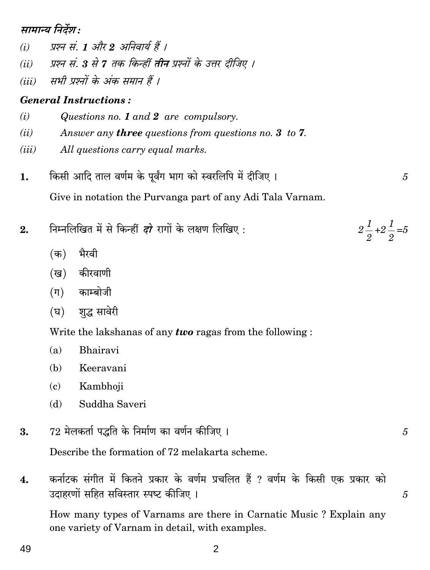## मामान्य निर्देश :

- प्रश्न सं. 1 और 2 अनिवार्य हैं ।  $(i)$
- प्रश्न सं. 3 से 7 तक किन्हीं **तीन** प्रश्नों के उत्तर दीजिए ।  $(ii)$
- सभी प्रश्नों के अंक समान हैं ।  $(iii)$

## **General Instructions:**

- Questions no. 1 and 2 are compulsory.  $(i)$
- $(ii)$ Answer any **three** questions from questions no. 3 to 7.
- All questions carry equal marks.  $(iii)$
- किसी आदि ताल वर्णम के पूर्वंग भाग को स्वरलिपि में दीजिए। 1.  $\overline{5}$ Give in notation the Purvanga part of any Adi Tala Varnam.
- निम्नलिखित में से किन्हीं *दो* रागों के लक्षण लिखिए:  $2.$ 
	- (क) भैरवी
	- (ख) कीरवाणी
	- (ग) काम्बोजी
	- (घ) शृद्ध सावेरी

Write the lakshanas of any **two** ragas from the following:

- $(a)$ Bhairavi
- Keeravani (b)
- $\epsilon$ Kambhoji
- Suddha Saveri (d)
- $72$  मेलकर्ता पद्धति के निर्माण का वर्णन कीजिए । 3.

Describe the formation of 72 melakarta scheme.

कर्नाटक संगीत में कितने प्रकार के वर्णम प्रचलित हैं ? वर्णम के किसी एक प्रकार को  $\overline{4}$ . उदाहरणों सहित सविस्तार स्पष्ट कीजिए ।

How many types of Varnams are there in Carnatic Music? Explain any one variety of Varnam in detail, with examples.

 $\overline{2}$ 

 $2\frac{1}{2}+2\frac{1}{2}=5$ 

5

 $\overline{5}$